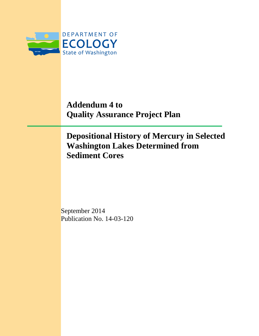

# **Addendum 4 to Quality Assurance Project Plan**

# **Depositional History of Mercury in Selected Washington Lakes Determined from Sediment Cores**

September 2014 Publication No. 14-03-120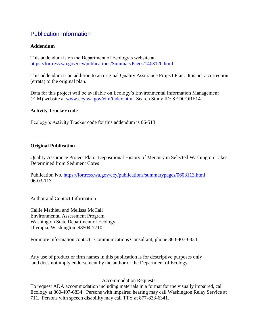#### Publication Information

#### **Addendum**

This addendum is on the Department of Ecology's website at <https://fortress.wa.gov/ecy/publications/SummaryPages/1403120.html>

This addendum is an addition to an original Quality Assurance Project Plan. It is not a correction (errata) to the original plan.

Data for this project will be available on Ecology's Environmental Information Management (EIM) website at [www.ecy.wa.gov/eim/index.htm.](http://www.ecy.wa.gov/eim/index.htm) Search Study ID: SEDCORE14.

#### **Activity Tracker code**

Ecology's Activity Tracker code for this addendum is 06-513.

#### **Original Publication**

Quality Assurance Project Plan: Depositional History of Mercury in Selected Washington Lakes Determined from Sediment Cores

Publication No.<https://fortress.wa.gov/ecy/publications/summarypages/0603113.html> 06-03-113

Author and Contact Information

Callie Mathieu and Melissa McCall Environmental Assessment Program Washington State Department of Ecology Olympia, Washington 98504-7710

For more information contact: Communications Consultant, phone 360-407-6834.

Any use of product or firm names in this publication is for descriptive purposes only and does not imply endorsement by the author or the Department of Ecology.

Accommodation Requests:

To request ADA accommodation including materials in a format for the visually impaired, call Ecology at 360-407-6834. Persons with impaired hearing may call Washington Relay Service at 711. Persons with speech disability may call TTY at 877-833-6341.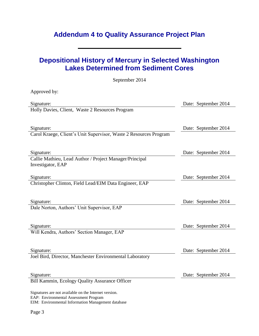## **Addendum 4 to Quality Assurance Project Plan**

#### **Depositional History of Mercury in Selected Washington Lakes Determined from Sediment Cores**

September 2014

| Approved by:                                                                                   |                      |
|------------------------------------------------------------------------------------------------|----------------------|
| Signature:                                                                                     | Date: September 2014 |
| Holly Davies, Client, Waste 2 Resources Program                                                |                      |
|                                                                                                |                      |
| Signature:                                                                                     | Date: September 2014 |
| Carol Kraege, Client's Unit Supervisor, Waste 2 Resources Program                              |                      |
|                                                                                                |                      |
| Signature:                                                                                     | Date: September 2014 |
| Callie Mathieu, Lead Author / Project Manager/Principal                                        |                      |
| Investigator, EAP                                                                              |                      |
| Signature:                                                                                     | Date: September 2014 |
| Christopher Clinton, Field Lead/EIM Data Engineer, EAP                                         |                      |
|                                                                                                |                      |
| Signature:                                                                                     | Date: September 2014 |
| Dale Norton, Authors' Unit Supervisor, EAP                                                     |                      |
|                                                                                                |                      |
| Signature:                                                                                     | Date: September 2014 |
| Will Kendra, Authors' Section Manager, EAP                                                     |                      |
|                                                                                                |                      |
| Signature:                                                                                     | Date: September 2014 |
| Joel Bird, Director, Manchester Environmental Laboratory                                       |                      |
|                                                                                                |                      |
| Signature:                                                                                     | Date: September 2014 |
| Bill Kammin, Ecology Quality Assurance Officer                                                 |                      |
|                                                                                                |                      |
| Signatures are not available on the Internet version.<br>EAP: Environmental Assessment Program |                      |

EIM: Environmental Information Management database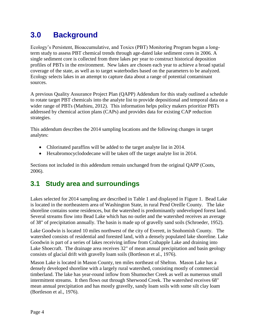# **3.0 Background**

Ecology's Persistent, Bioaccumulative, and Toxics (PBT) Monitoring Program began a longterm study to assess PBT chemical trends through age-dated lake sediment cores in 2006. A single sediment core is collected from three lakes per year to construct historical deposition profiles of PBTs in the environment. New lakes are chosen each year to achieve a broad spatial coverage of the state, as well as to target waterbodies based on the parameters to be analyzed. Ecology selects lakes in an attempt to capture data about a range of potential contaminant sources.

A previous Quality Assurance Project Plan (QAPP) Addendum for this study outlined a schedule to rotate target PBT chemicals into the analyte list to provide depositional and temporal data on a wider range of PBTs (Mathieu, 2012). This information helps policy makers prioritize PBTs addressed by chemical action plans (CAPs) and provides data for existing CAP reduction strategies.

This addendum describes the 2014 sampling locations and the following changes in target analytes:

- Chlorinated paraffins will be added to the target analyte list in 2014.
- Hexabromocyclododecane will be taken off the target analyte list in 2014.

Sections not included in this addendum remain unchanged from the original QAPP (Coots, 2006).

### **3.1 Study area and surroundings**

Lakes selected for 2014 sampling are described in Table 1 and displayed in Figure 1. Bead Lake is located in the northeastern area of Washington State, in rural Pend Oreille County. The lake shoreline contains some residences, but the watershed is predominantly undeveloped forest land. Several streams flow into Bead Lake which has no outlet and the watershed receives an average of 38" of precipitation annually. The basin is made up of gravelly sand soils (Schroeder, 1952).

Lake Goodwin is located 10 miles northwest of the city of Everett, in Snohomish County. The watershed consists of residential and forested land, with a densely populated lake shoreline. Lake Goodwin is part of a series of lakes receiving inflow from Crabapple Lake and draining into Lake Shoecraft. The drainage area receives 32" of mean annual precipitation and basin geology consists of glacial drift with gravelly loam soils (Bortleson et al., 1976).

Mason Lake is located in Mason County, ten miles northeast of Shelton. Mason Lake has a densely developed shoreline with a largely rural watershed, consisting mostly of commercial timberland. The lake has year-round inflow from Shumocher Creek as well as numerous small intermittent streams. It then flows out through Sherwood Creek. The watershed receives 68" mean annual precipitation and has mostly gravelly, sandy loam soils with some silt clay loam (Bortleson et al., 1976).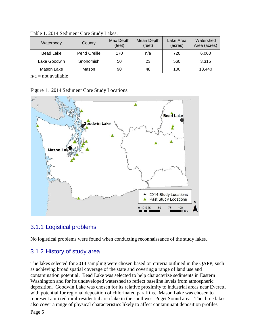| Waterbody    | County       | Max Depth<br>(feet) | Mean Depth<br>(feet) | Lake Area<br>(acres) | Watershed<br>Area (acres) |
|--------------|--------------|---------------------|----------------------|----------------------|---------------------------|
| Bead Lake    | Pend Oreille | 170                 | n/a                  | 720                  | 6,000                     |
| Lake Goodwin | Snohomish    | 50                  | 23                   | 560                  | 3.315                     |
| Mason Lake   | Mason        | 90                  | 48                   | 100                  | 13.440                    |

Table 1. 2014 Sediment Core Study Lakes.

 $n/a$  = not available

#### Figure 1. 2014 Sediment Core Study Locations.



#### 3.1.1 Logistical problems

No logistical problems were found when conducting reconnaissance of the study lakes.

#### 3.1.2 History of study area

The lakes selected for 2014 sampling were chosen based on criteria outlined in the QAPP, such as achieving broad spatial coverage of the state and covering a range of land use and contamination potential. Bead Lake was selected to help characterize sediments in Eastern Washington and for its undeveloped watershed to reflect baseline levels from atmospheric deposition. Goodwin Lake was chosen for its relative proximity to industrial areas near Everett, with potential for regional deposition of chlorinated paraffins. Mason Lake was chosen to represent a mixed rural-residential area lake in the southwest Puget Sound area. The three lakes also cover a range of physical characteristics likely to affect contaminant deposition profiles

Page 5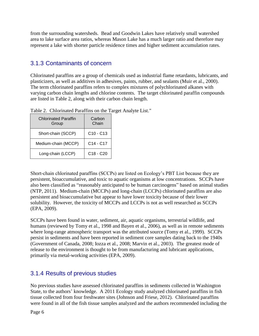from the surrounding watersheds. Bead and Goodwin Lakes have relatively small watershed area to lake surface area ratios, whereas Mason Lake has a much larger ratio and therefore may represent a lake with shorter particle residence times and higher sediment accumulation rates.

#### 3.1.3 Contaminants of concern

Chlorinated paraffins are a group of chemicals used as industrial flame retardants, lubricants, and plasticizers, as well as additives in adhesives, paints, rubber, and sealants (Muir et al., 2000). The term chlorinated paraffins refers to complex mixtures of polychlorinated alkanes with varying carbon chain lengths and chlorine contents. The target chlorinated paraffin compounds are listed in Table 2, along with their carbon chain length.

| <b>Chlorinated Paraffin</b><br>Group | Carbon<br>Chain                   |
|--------------------------------------|-----------------------------------|
| Short-chain (SCCP)                   | $C10 - C13$                       |
| Medium-chain (MCCP)                  | C14 - C17                         |
| Long-chain (LCCP)                    | C <sub>18</sub> - C <sub>20</sub> |

Table 2. Chlorinated Paraffins on the Target Analyte List."

Short-chain chlorinated paraffins (SCCPs) are listed on Ecology's PBT List because they are persistent, bioaccumulative, and toxic to aquatic organisms at low concentrations. SCCPs have also been classified as "reasonably anticipated to be human carcinogens" based on animal studies (NTP, 2011). Medium-chain (MCCPs) and long-chain (LCCPs) chlorinated paraffins are also persistent and bioaccumulative but appear to have lower toxicity because of their lower solubility. However, the toxicity of MCCPs and LCCPs is not as well researched as SCCPs (EPA, 2009).

SCCPs have been found in water, sediment, air, aquatic organisms, terrestrial wildlife, and humans (reviewed by Tomy et al., 1998 and Bayen et al., 2006), as well as in remote sediments where long-range atmospheric transport was the attributed source (Tomy et al., 1999). SCCPs persist in sediments and have been reported in sediment core samples dating back to the 1940s (Government of Canada, 2008; Iozza et al., 2008; Marvin et al., 2003). The greatest mode of release to the environment is thought to be from manufacturing and lubricant applications, primarily via metal-working activities (EPA, 2009).

#### 3.1.4 Results of previous studies

No previous studies have assessed chlorinated paraffins in sediments collected in Washington State, to the authors' knowledge. A 2011 Ecology study analyzed chlorinated paraffins in fish tissue collected from four freshwater sites (Johnson and Friese, 2012). Chlorinated paraffins were found in all of the fish tissue samples analyzed and the authors recommended including the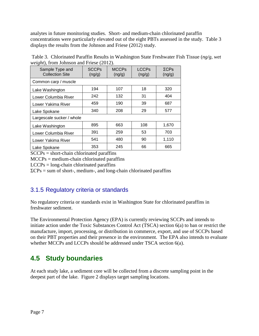analytes in future monitoring studies. Short- and medium-chain chlorinated paraffin concentrations were particularly elevated out of the eight PBTs assessed in the study. Table 3 displays the results from the Johnson and Friese (2012) study.

|                                                  | Table 3. Chlorinated Paraffin Results in Washington State Freshwater Fish Tissue (ng/g, wet |  |  |
|--------------------------------------------------|---------------------------------------------------------------------------------------------|--|--|
| <i>weight</i> ), from Johnson and Friese (2012). |                                                                                             |  |  |

| Sample Type and<br><b>Collection Site</b> | <b>SCCPs</b><br>(ng/g) | <b>MCCPs</b><br>(ng/g) | <b>LCCPs</b><br>(ng/g) | $\Sigma$ CPs<br>(ng/g) |  |  |  |
|-------------------------------------------|------------------------|------------------------|------------------------|------------------------|--|--|--|
| Common carp / muscle                      |                        |                        |                        |                        |  |  |  |
| Lake Washington                           | 194                    | 107                    | 18                     | 320                    |  |  |  |
| Lower Columbia River                      | 242                    | 132                    | 31                     | 404                    |  |  |  |
| Lower Yakima River                        | 459                    | 190                    | 39                     | 687                    |  |  |  |
| Lake Spokane                              | 340                    | 208                    | 29                     | 577                    |  |  |  |
| Largescale sucker / whole                 |                        |                        |                        |                        |  |  |  |
| Lake Washington                           | 895                    | 663                    | 108                    | 1,670                  |  |  |  |
| Lower Columbia River                      | 391                    | 259                    | 53                     | 703                    |  |  |  |
| Lower Yakima River                        | 541                    | 480                    | 90                     | 1,110                  |  |  |  |
| Lake Spokane                              | 353                    | 245                    | 66                     | 665                    |  |  |  |

SCCPs = short-chain chlorinated paraffins

MCCPs = medium-chain chlorinated paraffins

LCCPs = long-chain chlorinated paraffins

 $\Sigma$ CPs = sum of short-, medium-, and long-chain chlorinated paraffins

#### 3.1.5 Regulatory criteria or standards

No regulatory criteria or standards exist in Washington State for chlorinated paraffins in freshwater sediment.

The Environmental Protection Agency (EPA) is currently reviewing SCCPs and intends to initiate action under the Toxic Substances Control Act (TSCA) section 6(a) to ban or restrict the manufacture, import, processing, or distribution in commerce, export, and use of SCCPs based on their PBT properties and their presence in the environment. The EPA also intends to evaluate whether MCCPs and LCCPs should be addressed under TSCA section 6(a).

### **4.5 Study boundaries**

At each study lake, a sediment core will be collected from a discrete sampling point in the deepest part of the lake. Figure 2 displays target sampling locations.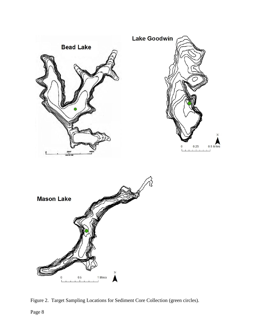

Figure 2. Target Sampling Locations for Sediment Core Collection (green circles).

Page 8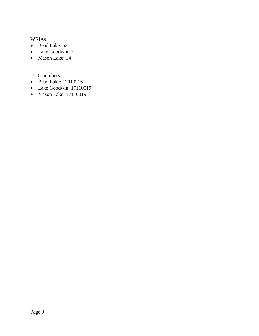#### WRIAs

- Bead Lake: 62
- Lake Goodwin: 7
- Mason Lake: 14

HUC numbers

- Bead Lake: 17010216
- Lake Goodwin: 17110019
- Mason Lake: 17110019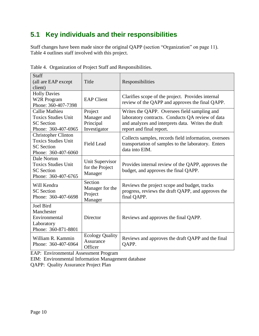# **5.1 Key individuals and their responsibilities**

Staff changes have been made since the original QAPP (section "Organization" on page 11). Table 4 outlines staff involved with this project.

| <b>Staff</b><br>(all are EAP except<br>client)                                                       | Title                                                | Responsibilities                                                                                                                                                                   |
|------------------------------------------------------------------------------------------------------|------------------------------------------------------|------------------------------------------------------------------------------------------------------------------------------------------------------------------------------------|
| <b>Holly Davies</b><br><b>W2R Program</b><br>Phone: 360-407-7398                                     | <b>EAP Client</b>                                    | Clarifies scope of the project. Provides internal<br>review of the QAPP and approves the final QAPP.                                                                               |
| Callie Mathieu<br><b>Toxics Studies Unit</b><br><b>SC</b> Section<br>Phone: 360-407-6965             | Project<br>Manager and<br>Principal<br>Investigator  | Writes the QAPP. Oversees field sampling and<br>laboratory contracts. Conducts QA review of data<br>and analyzes and interprets data. Writes the draft<br>report and final report. |
| <b>Christopher Clinton</b><br><b>Toxics Studies Unit</b><br><b>SC</b> Section<br>Phone: 360-407-6060 | <b>Field Lead</b>                                    | Collects samples, records field information, oversees<br>transportation of samples to the laboratory. Enters<br>data into EIM.                                                     |
| Dale Norton<br><b>Toxics Studies Unit</b><br><b>SC</b> Section<br>Phone: 360-407-6765                | <b>Unit Supervisor</b><br>for the Project<br>Manager | Provides internal review of the QAPP, approves the<br>budget, and approves the final QAPP.                                                                                         |
| Will Kendra<br><b>SC</b> Section<br>Phone: 360-407-6698                                              | Section<br>Manager for the<br>Project<br>Manager     | Reviews the project scope and budget, tracks<br>progress, reviews the draft QAPP, and approves the<br>final QAPP.                                                                  |
| <b>Joel Bird</b><br>Manchester<br>Environmental<br>Laboratory<br>Phone: 360-871-8801                 | Director                                             | Reviews and approves the final QAPP.                                                                                                                                               |
| William R. Kammin<br>Phone: 360-407-6964                                                             | <b>Ecology Quality</b><br>Assurance<br>Officer       | Reviews and approves the draft QAPP and the final<br>QAPP.                                                                                                                         |

Table 4. Organization of Project Staff and Responsibilities.

EAP: Environmental Assessment Program

EIM: Environmental Information Management database

QAPP: Quality Assurance Project Plan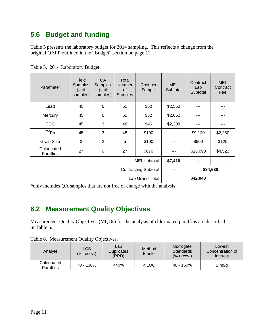# **5.6 Budget and funding**

Table 5 presents the laboratory budget for 2014 sampling.This reflects a change from the original QAPP outlined in the "Budget" section on page 12.

| Parameter                   | Field<br><b>Samples</b><br># of<br>samples) | QA<br>Samples <sup>®</sup><br># of<br>samples) | Total<br><b>Number</b><br>of<br><b>Samples</b> | Cost per<br>Sample | <b>MEL</b><br>Subtotal | Contract<br>Lab<br>Subtotal | <b>MEL</b><br>Contract<br>Fee |
|-----------------------------|---------------------------------------------|------------------------------------------------|------------------------------------------------|--------------------|------------------------|-----------------------------|-------------------------------|
| Lead                        | 45                                          | 6                                              | 51                                             | \$50               | \$2,550                | ---                         | ---                           |
| Mercury                     | 45                                          | 6                                              | 51                                             | \$52               | \$2,652                | ---                         | ---                           |
| <b>TOC</b>                  | 45                                          | 3                                              | 48                                             | \$46               | \$2,208                | ---                         | ---                           |
| $^{210}Pb$                  | 45                                          | 3                                              | 48                                             | \$190              |                        | \$9,120                     | \$2,280                       |
| Grain Size                  | 3                                           | 2                                              | 5                                              | \$100              | ---                    | \$500                       | \$125                         |
| Chlorinated<br>Paraffins    | 27                                          | 0                                              | 27                                             | \$670              | ---                    | \$18,090                    | \$4,523                       |
| MEL subtotal                |                                             |                                                |                                                | \$7,410            | ---                    | ---                         |                               |
| <b>Contracting Subtotal</b> |                                             |                                                |                                                | ---                |                        | \$34,638                    |                               |
| Lab Grand Total             |                                             |                                                |                                                |                    |                        | \$42,048                    |                               |

Table 5. 2014 Laboratory Budget.

\*only includes QA samples that are not free of charge with the analysis.

### **6.2 Measurement Quality Objectives**

Measurement Quality Objectives (MQOs) for the analysis of chlorinated paraffins are described in Table 6.

| Analyte                  | LCS<br>$(% \mathcal{L}_{0})$ recov.) | Lab<br><b>Duplicates</b><br>(RPD) | Method<br><b>Blanks</b> | Surrogate<br><b>Standards</b><br>$%$ recov.) | Lowest<br>Concentration of<br>Interest |
|--------------------------|--------------------------------------|-----------------------------------|-------------------------|----------------------------------------------|----------------------------------------|
| Chlorinated<br>Paraffins | 70 - 130%                            | <40%                              | $<$ LOQ                 | $40 - 150%$                                  | $2 \nlog/g$                            |

Table 6. Measurement Quality Objectives.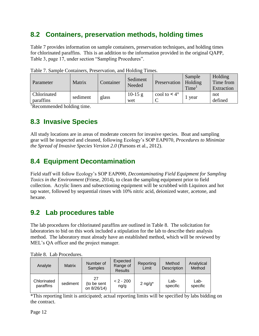## **8.2 Containers, preservation methods, holding times**

Table 7 provides information on sample containers, preservation techniques, and holding times for chlorinated paraffins. This is an addition to the information provided in the original QAPP, Table 3, page 17, under section "Sampling Procedures".

| Parameter                | Matrix   | Container | Sediment<br>Needed | Preservation           | Sample<br>Holding<br>Time <sup>1</sup> | Holding<br>Time from<br>Extraction |
|--------------------------|----------|-----------|--------------------|------------------------|----------------------------------------|------------------------------------|
| Chlorinated<br>paraffins | sediment | glass     | $10-15$ g<br>wet   | cool to $\leq 4^\circ$ | year                                   | not<br>defined                     |

Table 7. Sample Containers, Preservation, and Holding Times.

<sup>1</sup>Recommended holding time.

### **8.3 Invasive Species**

All study locations are in areas of moderate concern for invasive species. Boat and sampling gear will be inspected and cleaned, following Ecology's SOP EAP070, *Procedures to Minimize the Spread of Invasive Species Version 2.0* (Parsons et al., 2012).

# **8.4 Equipment Decontamination**

Field staff will follow Ecology's SOP EAP090, *Decontaminating Field Equipment for Sampling Toxics in the Environment* (Friese, 2014), to clean the sampling equipment prior to field collection. Acrylic liners and subsectioning equipment will be scrubbed with Liquinox and hot tap water, followed by sequential rinses with 10% nitric acid, deionized water, acetone, and hexane.

### **9.2 Lab procedures table**

The lab procedures for chlorinated paraffins are outlined in Table 8. The solicitation for laboratories to bid on this work included a stipulation for the lab to describe their analysis method. The laboratory must already have an established method, which will be reviewed by MEL's QA officer and the project manager.

| Analyte                  | <b>Matrix</b> | Number of<br>Samples             | Expected<br>Range of<br><b>Results</b> | Reporting<br>Limit | Method<br><b>Description</b> | Analytical<br>Method |
|--------------------------|---------------|----------------------------------|----------------------------------------|--------------------|------------------------------|----------------------|
| Chlorinated<br>paraffins | sediment      | 27<br>(to be sent<br>on 8/26/14) | $< 2 - 200$<br>ng/g                    | 2 ng/g $*$         | Lab-<br>specific             | Lab-<br>specific     |

Table 8. Lab Procedures.

\*This reporting limit is anticipated; actual reporting limits will be specified by labs bidding on the contract.

Page 12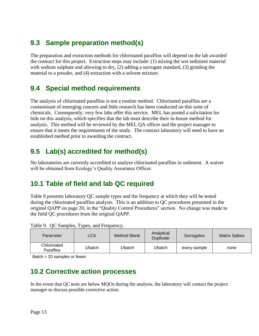## **9.3 Sample preparation method(s)**

The preparation and extraction methods for chlorinated paraffins will depend on the lab awarded the contract for this project. Extraction steps may include: (1) mixing the wet sediment material with sodium sulphate and allowing to dry, (2) adding a surrogate standard, (3) grinding the material to a powder, and (4) extraction with a solvent mixture.

#### **9.4 Special method requirements**

The analysis of chlorinated paraffins is not a routine method. Chlorinated paraffins are a contaminant of emerging concern and little research has been conducted on this suite of chemicals. Consequently, very few labs offer this service. MEL has posted a solicitation for bids on this analysis, which specifies that the lab must describe their in-house method for analysis. This method will be reviewed by the MEL QA officer and the project manager to ensure that it meets the requirements of the study. The contract laboratory will need to have an established method prior to awarding the contract.

### **9.5 Lab(s) accredited for method(s)**

No laboratories are currently accredited to analyze chlorinated paraffins in sediment. A waiver will be obtained from Ecology's Quality Assurance Officer.

#### **10.1 Table of field and lab QC required**

Table 9 presents laboratory QC sample types and the frequency at which they will be tested during the chlorinated paraffins analysis. This is an addition to QC procedures presented in the original QAPP on page 20, in the "Quality Control Procedures" section. No change was made to the field QC procedures from the original QAPP.

| Parameter                       | LCS     | <b>Method Blank</b> | Analytical<br><b>Duplicate</b> | Surrogates   | <b>Matrix Spikes</b> |
|---------------------------------|---------|---------------------|--------------------------------|--------------|----------------------|
| Chlorinated<br><b>Paraffins</b> | 1/batch | 1/batch             | 1/batch                        | every sample | none                 |

Table 9. QC Samples, Types, and Frequency.

Batch = 20 samples or fewer

#### **10.2 Corrective action processes**

In the event that QC tests are below MQOs during the analysis, the laboratory will contact the project manager to discuss possible corrective action.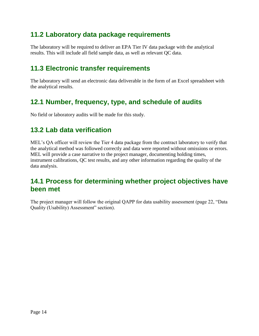### **11.2 Laboratory data package requirements**

The laboratory will be required to deliver an EPA Tier IV data package with the analytical results. This will include all field sample data, as well as relevant QC data.

#### **11.3 Electronic transfer requirements**

The laboratory will send an electronic data deliverable in the form of an Excel spreadsheet with the analytical results.

### **12.1 Number, frequency, type, and schedule of audits**

No field or laboratory audits will be made for this study.

#### **13.2 Lab data verification**

MEL's QA officer will review the Tier 4 data package from the contract laboratory to verify that the analytical method was followed correctly and data were reported without omissions or errors. MEL will provide a case narrative to the project manager, documenting holding times, instrument calibrations, QC test results, and any other information regarding the quality of the data analysis.

#### **14.1 Process for determining whether project objectives have been met**

The project manager will follow the original QAPP for data usability assessment (page 22, "Data Quality (Usability) Assessment" section).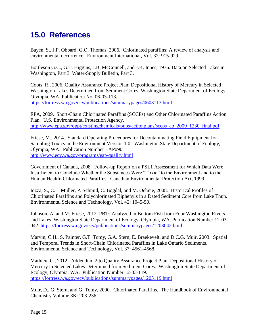# **15.0 References**

Bayen, S., J.P. Obbard, G.O. Thomas, 2006. Chlorinated paraffins: A review of analysis and environmental occurrence. Environment International, Vol. 32: 915-929.

Bortleson G.C., G.T. Higgins, J.B. McConnell, and J.K. Innes, 1976. Data on Selected Lakes in Washington, Part 3. Water-Supply Bulletin, Part 3.

Coots, R., 2006. Quality Assurance Project Plan: Depositional History of Mercury in Selected Washington Lakes Determined from Sediment Cores. Washington State Department of Ecology, Olympia, WA. Publication No. 06-03-113. <https://fortress.wa.gov/ecy/publications/summarypages/0603113.html>

EPA, 2009. Short-Chain Chlorinated Paraffins (SCCPs) and Other Chlorinated Paraffins Action Plan. U.S. Environmental Protection Agency. [http://www.epa.gov/oppt/existingchemicals/pubs/actionplans/sccps\\_ap\\_2009\\_1230\\_final.pdf](http://www.epa.gov/oppt/existingchemicals/pubs/actionplans/sccps_ap_2009_1230_final.pdf)

Friese, M., 2014. Standard Operating Procedures for Decontaminating Field Equipment for Sampling Toxics in the Environment Version 1.0. Washington State Department of Ecology, Olympia, WA. Publication Number EAP090. <http://www.ecy.wa.gov/programs/eap/quality.html>

Government of Canada, 2008. Follow-up Report on a PSL1 Assessment for Which Data Were Insufficient to Conclude Whether the Substances Were "Toxic" to the Environment and to the Human Health: Chlorinated Paraffins. Canadian Environmental Protection Act, 1999.

Iozza, S., C.E. Muller, P. Schmid, C. Bogdal, and M. Oehme, 2008. Historical Profiles of Chlorinated Paraffins and Polychlorinated Biphenyls in a Dated Sediment Core from Lake Thun. Environmental Science and Technology, Vol. 42: 1045-50.

Johnson, A. and M. Friese, 2012. PBTs Analyzed in Bottom Fish from Four Washington Rivers and Lakes. Washington State Department of Ecology, Olympia, WA. Publication Number 12-03- 042.<https://fortress.wa.gov/ecy/publications/summarypages/1203042.html>

Marvin, C.H., S. Painter, G.T. Tomy, G.A. Stern, E. Braekevelt, and D.C.G. Muir, 2003. Spatial and Temporal Trends in Short-Chain Chlorinated Paraffins in Lake Ontario Sediments. Environmental Science and Technology, Vol. 37: 4561-4568.

Mathieu, C., 2012. Addendum 2 to Quality Assurance Project Plan: Depositional History of Mercury in Selected Lakes Determined from Sediment Cores. Washington State Department of Ecology, Olympia, WA. Publication Number 12-03-119. <https://fortress.wa.gov/ecy/publications/summarypages/1203119.html>

Muir, D., G. Stern, and G. Tomy, 2000. Chlorinated Paraffins. The Handbook of Environmental Chemistry Volume 3K: 203-236.